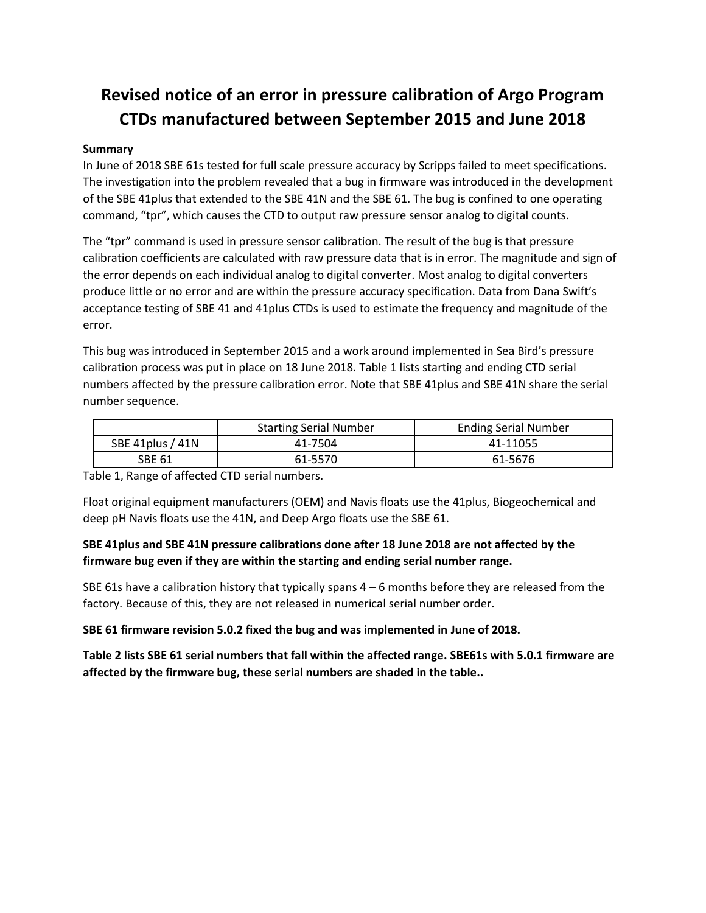# **Revised notice of an error in pressure calibration of Argo Program CTDs manufactured between September 2015 and June 2018**

## **Summary**

In June of 2018 SBE 61s tested for full scale pressure accuracy by Scripps failed to meet specifications. The investigation into the problem revealed that a bug in firmware was introduced in the development of the SBE 41plus that extended to the SBE 41N and the SBE 61. The bug is confined to one operating command, "tpr", which causes the CTD to output raw pressure sensor analog to digital counts.

The "tpr" command is used in pressure sensor calibration. The result of the bug is that pressure calibration coefficients are calculated with raw pressure data that is in error. The magnitude and sign of the error depends on each individual analog to digital converter. Most analog to digital converters produce little or no error and are within the pressure accuracy specification. Data from Dana Swift's acceptance testing of SBE 41 and 41plus CTDs is used to estimate the frequency and magnitude of the error.

This bug was introduced in September 2015 and a work around implemented in Sea Bird's pressure calibration process was put in place on 18 June 2018. Table 1 lists starting and ending CTD serial numbers affected by the pressure calibration error. Note that SBE 41plus and SBE 41N share the serial number sequence.

|                  | <b>Starting Serial Number</b> | <b>Ending Serial Number</b> |
|------------------|-------------------------------|-----------------------------|
| SBE 41plus / 41N | 41-7504                       | 41-11055                    |
| <b>SBE 61</b>    | 61-5570                       | 61-5676                     |

Table 1, Range of affected CTD serial numbers.

Float original equipment manufacturers (OEM) and Navis floats use the 41plus, Biogeochemical and deep pH Navis floats use the 41N, and Deep Argo floats use the SBE 61.

# **SBE 41plus and SBE 41N pressure calibrations done after 18 June 2018 are not affected by the firmware bug even if they are within the starting and ending serial number range.**

SBE 61s have a calibration history that typically spans  $4 - 6$  months before they are released from the factory. Because of this, they are not released in numerical serial number order.

#### **SBE 61 firmware revision 5.0.2 fixed the bug and was implemented in June of 2018.**

**Table 2 lists SBE 61 serial numbers that fall within the affected range. SBE61s with 5.0.1 firmware are affected by the firmware bug, these serial numbers are shaded in the table..**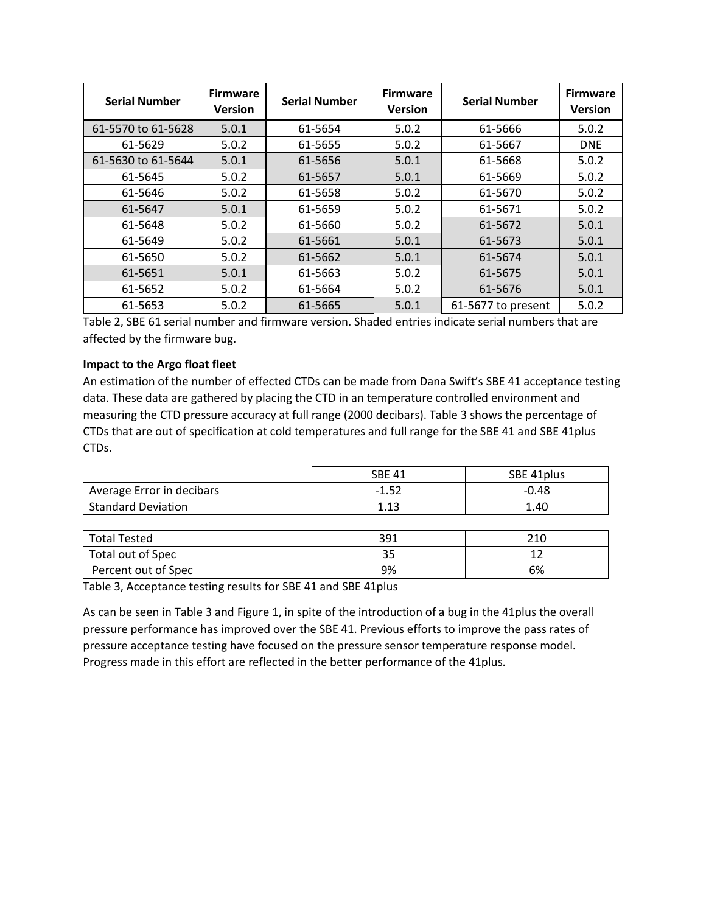| <b>Serial Number</b> | <b>Firmware</b><br><b>Version</b> | <b>Serial Number</b> | <b>Firmware</b><br><b>Version</b> | <b>Serial Number</b> | <b>Firmware</b><br><b>Version</b> |
|----------------------|-----------------------------------|----------------------|-----------------------------------|----------------------|-----------------------------------|
| 61-5570 to 61-5628   | 5.0.1                             | 61-5654              | 5.0.2                             | 61-5666              | 5.0.2                             |
| 61-5629              | 5.0.2                             | 61-5655              | 5.0.2                             | 61-5667              | <b>DNE</b>                        |
| 61-5630 to 61-5644   | 5.0.1                             | 61-5656              | 5.0.1                             | 61-5668              | 5.0.2                             |
| 61-5645              | 5.0.2                             | 61-5657              | 5.0.1                             | 61-5669              | 5.0.2                             |
| 61-5646              | 5.0.2                             | 61-5658              | 5.0.2                             | 61-5670              | 5.0.2                             |
| 61-5647              | 5.0.1                             | 61-5659              | 5.0.2                             | 61-5671              | 5.0.2                             |
| 61-5648              | 5.0.2                             | 61-5660              | 5.0.2                             | 61-5672              | 5.0.1                             |
| 61-5649              | 5.0.2                             | 61-5661              | 5.0.1                             | 61-5673              | 5.0.1                             |
| 61-5650              | 5.0.2                             | 61-5662              | 5.0.1                             | 61-5674              | 5.0.1                             |
| 61-5651              | 5.0.1                             | 61-5663              | 5.0.2                             | 61-5675              | 5.0.1                             |
| 61-5652              | 5.0.2                             | 61-5664              | 5.0.2                             | 61-5676              | 5.0.1                             |
| 61-5653              | 5.0.2                             | 61-5665              | 5.0.1                             | 61-5677 to present   | 5.0.2                             |

Table 2, SBE 61 serial number and firmware version. Shaded entries indicate serial numbers that are affected by the firmware bug.

### **Impact to the Argo float fleet**

An estimation of the number of effected CTDs can be made from Dana Swift's SBE 41 acceptance testing data. These data are gathered by placing the CTD in an temperature controlled environment and measuring the CTD pressure accuracy at full range (2000 decibars). Table 3 shows the percentage of CTDs that are out of specification at cold temperatures and full range for the SBE 41 and SBE 41plus CTDs.

|                           | <b>SBE 41</b> | SBE 41plus |
|---------------------------|---------------|------------|
| Average Error in decibars | 1.52<br>ے ب   | $-0.48$    |
| <b>Standard Deviation</b> |               | 1.40       |

| <b>Total Tested</b> | 391 | 210 |
|---------------------|-----|-----|
| Total out of Spec   |     |     |
| Percent out of Spec | 9%  | 6%  |

Table 3, Acceptance testing results for SBE 41 and SBE 41plus

As can be seen in Table 3 and Figure 1, in spite of the introduction of a bug in the 41plus the overall pressure performance has improved over the SBE 41. Previous efforts to improve the pass rates of pressure acceptance testing have focused on the pressure sensor temperature response model. Progress made in this effort are reflected in the better performance of the 41plus.